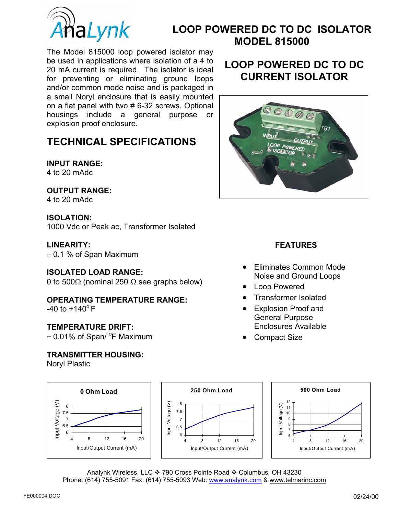

# **LOOP POWERED DC TO DC ISOLATOR Malynk** Loop Powered DC TO DC

The Model 815000 loop powered isolator may be used in applications where isolation of a 4 to 20 mA current is required. The isolator is ideal for preventing or eliminating ground loops and/or common mode noise and is packaged in a small Noryl enclosure that is easily mounted on a flat panel with two # 6-32 screws. Optional housings include a general purpose or explosion proof enclosure.

# **TECHNICAL SPECIFICATIONS**

## **INPUT RANGE:**

4 to 20 mAdc

### **OUTPUT RANGE:**

4 to 20 mAdc

#### **ISOLATION:**

1000 Vdc or Peak ac, Transformer Isolated

#### **LINEARITY:**

 $\pm$  0.1 % of Span Maximum

#### **ISOLATED LOAD RANGE:**

0 to 500Ω (nominal 250 Ω see graphs below)

## **OPERATING TEMPERATURE RANGE:**

 $-40$  to  $+140^{\circ}$  F

### **TEMPERATURE DRIFT:**

 $\pm$  0.01% of Span/ <sup>o</sup>F Maximum

#### **TRANSMITTER HOUSING:**

Noryl Plastic





**LOOP POWERED DC TO DC CURRENT ISOLATOR**

## **FEATURES**

- Eliminates Common Mode Noise and Ground Loops
- Loop Powered
- Transformer Isolated
- Explosion Proof and General Purpose Enclosures Available
- Compact Size



Analynk Wireless, LLC ❖ 790 Cross Pointe Road ❖ Columbus, OH 43230 Phone: (614) 755-5091 Fax: (614) 755-5093 Web: www.analynk.com & www.telmarinc.com